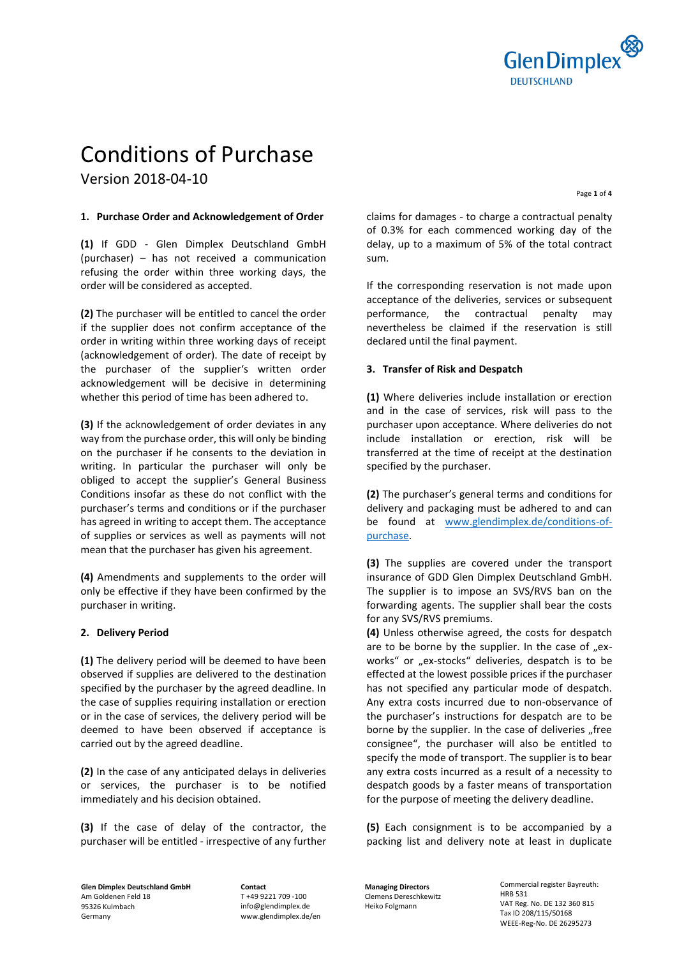

Version 2018-04-10

Page **1** of **4**

#### **1. Purchase Order and Acknowledgement of Order**

**(1)** If GDD - Glen Dimplex Deutschland GmbH (purchaser) – has not received a communication refusing the order within three working days, the order will be considered as accepted.

**(2)** The purchaser will be entitled to cancel the order if the supplier does not confirm acceptance of the order in writing within three working days of receipt (acknowledgement of order). The date of receipt by the purchaser of the supplier's written order acknowledgement will be decisive in determining whether this period of time has been adhered to.

**(3)** If the acknowledgement of order deviates in any way from the purchase order, this will only be binding on the purchaser if he consents to the deviation in writing. In particular the purchaser will only be obliged to accept the supplier's General Business Conditions insofar as these do not conflict with the purchaser's terms and conditions or if the purchaser has agreed in writing to accept them. The acceptance of supplies or services as well as payments will not mean that the purchaser has given his agreement.

**(4)** Amendments and supplements to the order will only be effective if they have been confirmed by the purchaser in writing.

#### **2. Delivery Period**

**(1)** The delivery period will be deemed to have been observed if supplies are delivered to the destination specified by the purchaser by the agreed deadline. In the case of supplies requiring installation or erection or in the case of services, the delivery period will be deemed to have been observed if acceptance is carried out by the agreed deadline.

**(2)** In the case of any anticipated delays in deliveries or services, the purchaser is to be notified immediately and his decision obtained.

**(3)** If the case of delay of the contractor, the purchaser will be entitled - irrespective of any further claims for damages - to charge a contractual penalty of 0.3% for each commenced working day of the delay, up to a maximum of 5% of the total contract sum.

If the corresponding reservation is not made upon acceptance of the deliveries, services or subsequent performance, the contractual penalty may nevertheless be claimed if the reservation is still declared until the final payment.

#### **3. Transfer of Risk and Despatch**

**(1)** Where deliveries include installation or erection and in the case of services, risk will pass to the purchaser upon acceptance. Where deliveries do not include installation or erection, risk will be transferred at the time of receipt at the destination specified by the purchaser.

**(2)** The purchaser's general terms and conditions for delivery and packaging must be adhered to and can be found at [www.glendimplex.de/conditions-of](http://www.glendimplex.de/conditions-of-purchase)[purchase.](http://www.glendimplex.de/conditions-of-purchase)

**(3)** The supplies are covered under the transport insurance of GDD Glen Dimplex Deutschland GmbH. The supplier is to impose an SVS/RVS ban on the forwarding agents. The supplier shall bear the costs for any SVS/RVS premiums.

**(4)** Unless otherwise agreed, the costs for despatch are to be borne by the supplier. In the case of  $n$ exworks" or "ex-stocks" deliveries, despatch is to be effected at the lowest possible prices if the purchaser has not specified any particular mode of despatch. Any extra costs incurred due to non-observance of the purchaser's instructions for despatch are to be borne by the supplier. In the case of deliveries "free consignee", the purchaser will also be entitled to specify the mode of transport. The supplier is to bear any extra costs incurred as a result of a necessity to despatch goods by a faster means of transportation for the purpose of meeting the delivery deadline.

**(5)** Each consignment is to be accompanied by a packing list and delivery note at least in duplicate

**Glen Dimplex Deutschland GmbH** Am Goldenen Feld 18 95326 Kulmbach Germany

**Contact** T +49 9221 709 -100 info@glendimplex.de www.glendimplex.de/en

**Managing Directors** Clemens Dereschkewitz Heiko Folgmann

Commercial register Bayreuth: HRB 531 VAT Reg. No. DE 132 360 815 Tax ID 208/115/50168 WEEE-Reg-No. DE 26295273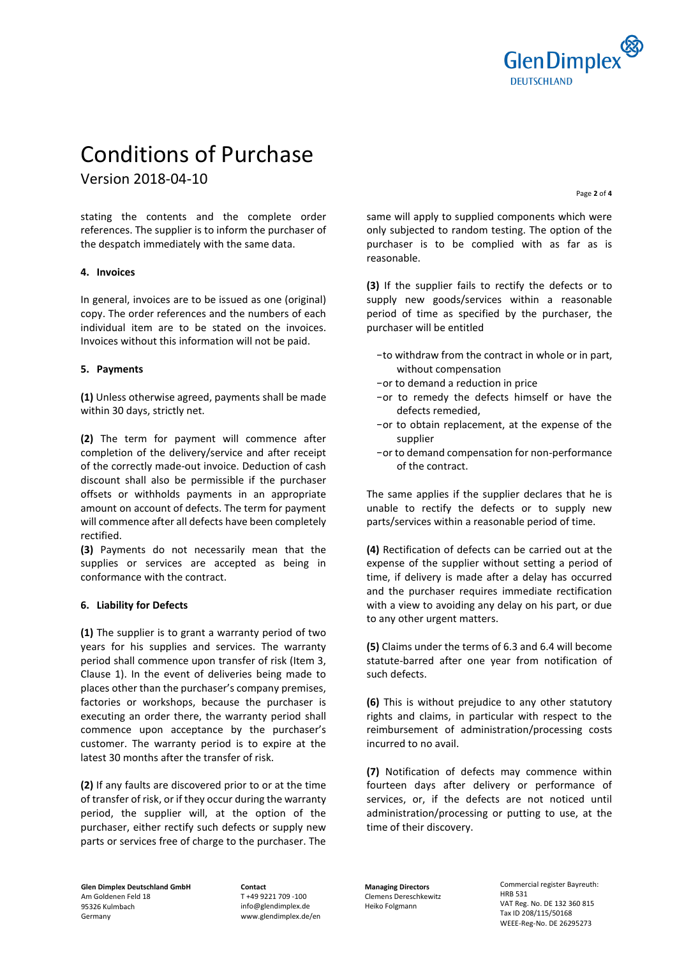

Version 2018-04-10

stating the contents and the complete order references. The supplier is to inform the purchaser of the despatch immediately with the same data.

#### **4. Invoices**

In general, invoices are to be issued as one (original) copy. The order references and the numbers of each individual item are to be stated on the invoices. Invoices without this information will not be paid.

#### **5. Payments**

**(1)** Unless otherwise agreed, payments shall be made within 30 days, strictly net.

**(2)** The term for payment will commence after completion of the delivery/service and after receipt of the correctly made-out invoice. Deduction of cash discount shall also be permissible if the purchaser offsets or withholds payments in an appropriate amount on account of defects. The term for payment will commence after all defects have been completely rectified.

**(3)** Payments do not necessarily mean that the supplies or services are accepted as being in conformance with the contract.

#### **6. Liability for Defects**

**(1)** The supplier is to grant a warranty period of two years for his supplies and services. The warranty period shall commence upon transfer of risk (Item 3, Clause 1). In the event of deliveries being made to places other than the purchaser's company premises, factories or workshops, because the purchaser is executing an order there, the warranty period shall commence upon acceptance by the purchaser's customer. The warranty period is to expire at the latest 30 months after the transfer of risk.

**(2)** If any faults are discovered prior to or at the time of transfer of risk, or if they occur during the warranty period, the supplier will, at the option of the purchaser, either rectify such defects or supply new parts or services free of charge to the purchaser. The

same will apply to supplied components which were only subjected to random testing. The option of the purchaser is to be complied with as far as is reasonable.

**(3)** If the supplier fails to rectify the defects or to supply new goods/services within a reasonable period of time as specified by the purchaser, the purchaser will be entitled

- –to withdraw from the contract in whole or in part, without compensation
- –or to demand a reduction in price
- –or to remedy the defects himself or have the defects remedied,
- –or to obtain replacement, at the expense of the supplier
- –or to demand compensation for non-performance of the contract.

The same applies if the supplier declares that he is unable to rectify the defects or to supply new parts/services within a reasonable period of time.

**(4)** Rectification of defects can be carried out at the expense of the supplier without setting a period of time, if delivery is made after a delay has occurred and the purchaser requires immediate rectification with a view to avoiding any delay on his part, or due to any other urgent matters.

**(5)** Claims under the terms of 6.3 and 6.4 will become statute-barred after one year from notification of such defects.

**(6)** This is without prejudice to any other statutory rights and claims, in particular with respect to the reimbursement of administration/processing costs incurred to no avail.

**(7)** Notification of defects may commence within fourteen days after delivery or performance of services, or, if the defects are not noticed until administration/processing or putting to use, at the time of their discovery.

**Glen Dimplex Deutschland GmbH** Am Goldenen Feld 18 95326 Kulmbach Germany

**Contact** T +49 9221 709 -100 info@glendimplex.de www.glendimplex.de/en

**Managing Directors** Clemens Dereschkewitz Heiko Folgmann

Commercial register Bayreuth: HRB 531 VAT Reg. No. DE 132 360 815 Tax ID 208/115/50168 WEEE-Reg-No. DE 26295273

Page **2** of **4**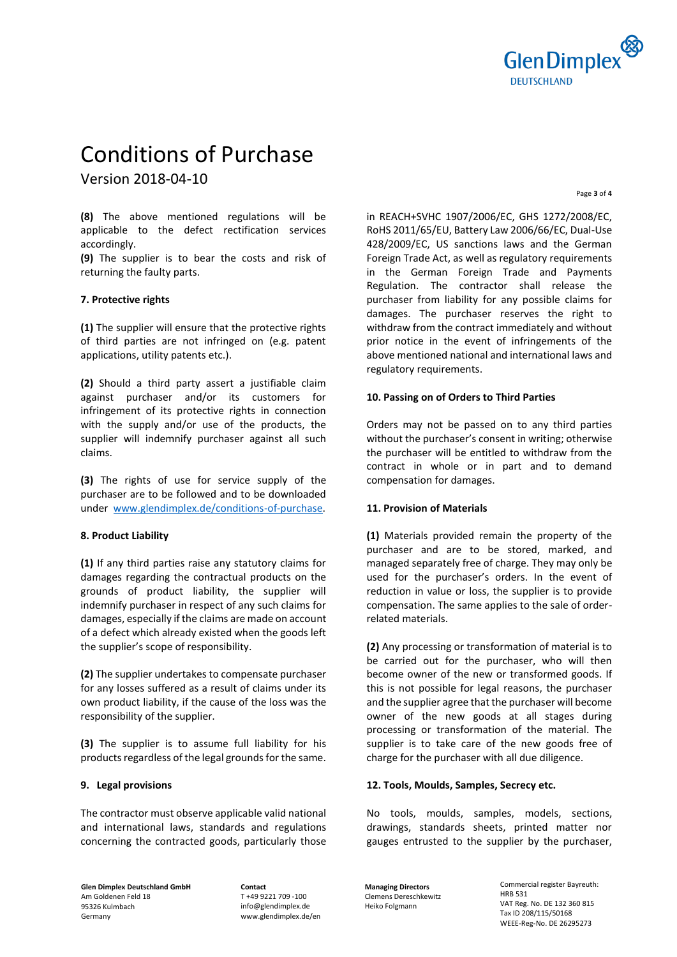

Version 2018-04-10

**(8)** The above mentioned regulations will be applicable to the defect rectification services accordingly.

**(9)** The supplier is to bear the costs and risk of returning the faulty parts.

#### **7. Protective rights**

**(1)** The supplier will ensure that the protective rights of third parties are not infringed on (e.g. patent applications, utility patents etc.).

**(2)** Should a third party assert a justifiable claim against purchaser and/or its customers for infringement of its protective rights in connection with the supply and/or use of the products, the supplier will indemnify purchaser against all such claims.

**(3)** The rights of use for service supply of the purchaser are to be followed and to be downloaded under[www.glendimplex.de/conditions-of-purchase.](http://www.glendimplex.de/conditions-of-purchase)

#### **8. Product Liability**

**(1)** If any third parties raise any statutory claims for damages regarding the contractual products on the grounds of product liability, the supplier will indemnify purchaser in respect of any such claims for damages, especially if the claims are made on account of a defect which already existed when the goods left the supplier's scope of responsibility.

**(2)** The supplier undertakes to compensate purchaser for any losses suffered as a result of claims under its own product liability, if the cause of the loss was the responsibility of the supplier.

**(3)** The supplier is to assume full liability for his products regardless of the legal grounds for the same.

#### **9. Legal provisions**

The contractor must observe applicable valid national and international laws, standards and regulations concerning the contracted goods, particularly those

**Glen Dimplex Deutschland GmbH** Am Goldenen Feld 18 95326 Kulmbach Germany

**Contact** T +49 9221 709 -100 info@glendimplex.de www.glendimplex.de/en in REACH+SVHC 1907/2006/EC, GHS 1272/2008/EC, RoHS 2011/65/EU, Battery Law 2006/66/EC, Dual-Use 428/2009/EC, US sanctions laws and the German Foreign Trade Act, as well as regulatory requirements in the German Foreign Trade and Payments Regulation. The contractor shall release the purchaser from liability for any possible claims for damages. The purchaser reserves the right to withdraw from the contract immediately and without prior notice in the event of infringements of the above mentioned national and international laws and regulatory requirements.

#### **10. Passing on of Orders to Third Parties**

Orders may not be passed on to any third parties without the purchaser's consent in writing; otherwise the purchaser will be entitled to withdraw from the contract in whole or in part and to demand compensation for damages.

#### **11. Provision of Materials**

**(1)** Materials provided remain the property of the purchaser and are to be stored, marked, and managed separately free of charge. They may only be used for the purchaser's orders. In the event of reduction in value or loss, the supplier is to provide compensation. The same applies to the sale of orderrelated materials.

**(2)** Any processing or transformation of material is to be carried out for the purchaser, who will then become owner of the new or transformed goods. If this is not possible for legal reasons, the purchaser and the supplier agree that the purchaser will become owner of the new goods at all stages during processing or transformation of the material. The supplier is to take care of the new goods free of charge for the purchaser with all due diligence.

#### **12. Tools, Moulds, Samples, Secrecy etc.**

No tools, moulds, samples, models, sections, drawings, standards sheets, printed matter nor gauges entrusted to the supplier by the purchaser,

**Managing Directors** Clemens Dereschkewitz Heiko Folgmann

Commercial register Bayreuth: HRB 531 VAT Reg. No. DE 132 360 815 Tax ID 208/115/50168 WEEE-Reg-No. DE 26295273

Page **3** of **4**